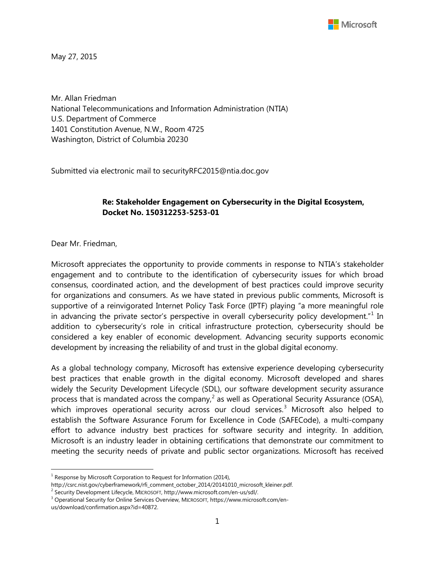

May 27, 2015

Mr. Allan Friedman National Telecommunications and Information Administration (NTIA) U.S. Department of Commerce 1401 Constitution Avenue, N.W., Room 4725 Washington, District of Columbia 20230

Submitted via electronic mail to securityRFC2015@ntia.doc.gov

#### **Re: Stakeholder Engagement on Cybersecurity in the Digital Ecosystem, Docket No. 150312253-5253-01**

Dear Mr. Friedman,

l

Microsoft appreciates the opportunity to provide comments in response to NTIA's stakeholder engagement and to contribute to the identification of cybersecurity issues for which broad consensus, coordinated action, and the development of best practices could improve security for organizations and consumers. As we have stated in previous public comments, Microsoft is supportive of a reinvigorated Internet Policy Task Force (IPTF) playing "a more meaningful role in advancing the private sector's perspective in overall cybersecurity policy development." $1$  In addition to cybersecurity's role in critical infrastructure protection, cybersecurity should be considered a key enabler of economic development. Advancing security supports economic development by increasing the reliability of and trust in the global digital economy.

As a global technology company, Microsoft has extensive experience developing cybersecurity best practices that enable growth in the digital economy. Microsoft developed and shares widely the Security Development Lifecycle (SDL), our software development security assurance process that is mandated across the company,<sup>[2](#page-0-1)</sup> as well as Operational Security Assurance (OSA), which improves operational security across our cloud services.<sup>[3](#page-0-2)</sup> Microsoft also helped to establish the Software Assurance Forum for Excellence in Code (SAFECode), a multi-company effort to advance industry best practices for software security and integrity. In addition, Microsoft is an industry leader in obtaining certifications that demonstrate our commitment to meeting the security needs of private and public sector organizations. Microsoft has received

<span id="page-0-0"></span> $1$  Response by Microsoft Corporation to Request for Information (2014),

http://csrc.nist.gov/cyberframework/rfi\_comment\_october\_2014/20141010\_microsoft\_kleiner.pdf.

<span id="page-0-1"></span><sup>2</sup> Security Development Lifecycle, MICROSOFT, http://www.microsoft.com/en-us/sdl/.

<span id="page-0-2"></span><sup>3</sup> Operational Security for Online Services Overview, MICROSOFT, https://www.microsoft.com/enus/download/confirmation.aspx?id=40872.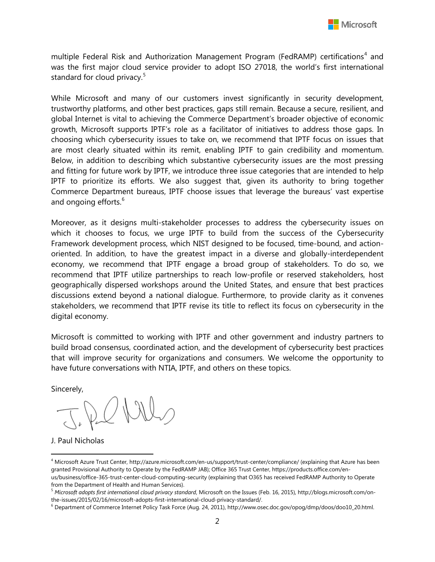

multiple Federal Risk and Authorization Management Program (FedRAMP) certifications<sup>[4](#page-1-0)</sup> and was the first major cloud service provider to adopt ISO 27018, the world's first international standard for cloud privacy.<sup>[5](#page-1-1)</sup>

While Microsoft and many of our customers invest significantly in security development, trustworthy platforms, and other best practices, gaps still remain. Because a secure, resilient, and global Internet is vital to achieving the Commerce Department's broader objective of economic growth, Microsoft supports IPTF's role as a facilitator of initiatives to address those gaps. In choosing which cybersecurity issues to take on, we recommend that IPTF focus on issues that are most clearly situated within its remit, enabling IPTF to gain credibility and momentum. Below, in addition to describing which substantive cybersecurity issues are the most pressing and fitting for future work by IPTF, we introduce three issue categories that are intended to help IPTF to prioritize its efforts. We also suggest that, given its authority to bring together Commerce Department bureaus, IPTF choose issues that leverage the bureaus' vast expertise and ongoing efforts.<sup>[6](#page-1-2)</sup>

Moreover, as it designs multi-stakeholder processes to address the cybersecurity issues on which it chooses to focus, we urge IPTF to build from the success of the Cybersecurity Framework development process, which NIST designed to be focused, time-bound, and actionoriented. In addition, to have the greatest impact in a diverse and globally-interdependent economy, we recommend that IPTF engage a broad group of stakeholders. To do so, we recommend that IPTF utilize partnerships to reach low-profile or reserved stakeholders, host geographically dispersed workshops around the United States, and ensure that best practices discussions extend beyond a national dialogue. Furthermore, to provide clarity as it convenes stakeholders, we recommend that IPTF revise its title to reflect its focus on cybersecurity in the digital economy.

Microsoft is committed to working with IPTF and other government and industry partners to build broad consensus, coordinated action, and the development of cybersecurity best practices that will improve security for organizations and consumers. We welcome the opportunity to have future conversations with NTIA, IPTF, and others on these topics.

Sincerely,

l

J. Paul Nicholas

<span id="page-1-0"></span><sup>4</sup> Microsoft Azure Trust Center, http://azure.microsoft.com/en-us/support/trust-center/compliance/ (explaining that Azure has been granted Provisional Authority to Operate by the FedRAMP JAB); Office 365 Trust Center, https://products.office.com/enus/business/office-365-trust-center-cloud-computing-security (explaining that O365 has received FedRAMP Authority to Operate from the Department of Health and Human Services).

<span id="page-1-1"></span><sup>5</sup> *Microsoft adopts first international cloud privacy standard*, Microsoft on the Issues (Feb. 16, 2015), http://blogs.microsoft.com/onthe-issues/2015/02/16/microsoft-adopts-first-international-cloud-privacy-standard/.

<span id="page-1-2"></span><sup>6</sup> Department of Commerce Internet Policy Task Force (Aug. 24, 2011), http://www.osec.doc.gov/opog/dmp/doos/doo10\_20.html.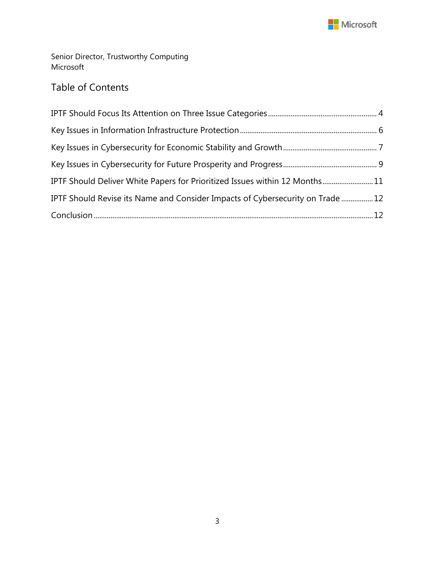

Senior Director, Trustworthy Computing Microsoft

# Table of Contents

| IPTF Should Deliver White Papers for Prioritized Issues within 12 Months11    |  |
|-------------------------------------------------------------------------------|--|
| IPTF Should Revise its Name and Consider Impacts of Cybersecurity on Trade 12 |  |
|                                                                               |  |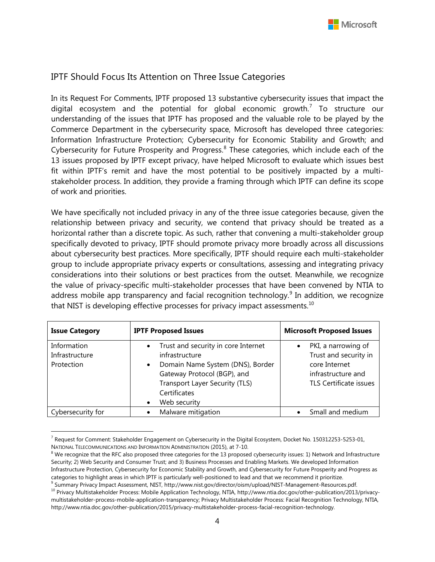## <span id="page-3-0"></span>IPTF Should Focus Its Attention on Three Issue Categories

In its Request For Comments, IPTF proposed 13 substantive cybersecurity issues that impact the digital ecosystem and the potential for global economic growth.<sup>[7](#page-3-1)</sup> To structure our understanding of the issues that IPTF has proposed and the valuable role to be played by the Commerce Department in the cybersecurity space, Microsoft has developed three categories: Information Infrastructure Protection; Cybersecurity for Economic Stability and Growth; and Cybersecurity for Future Prosperity and Progress.[8](#page-3-2) These categories, which include each of the 13 issues proposed by IPTF except privacy, have helped Microsoft to evaluate which issues best fit within IPTF's remit and have the most potential to be positively impacted by a multistakeholder process. In addition, they provide a framing through which IPTF can define its scope of work and priorities.

We have specifically not included privacy in any of the three issue categories because, given the relationship between privacy and security, we contend that privacy should be treated as a horizontal rather than a discrete topic. As such, rather that convening a multi-stakeholder group specifically devoted to privacy, IPTF should promote privacy more broadly across all discussions about cybersecurity best practices. More specifically, IPTF should require each multi-stakeholder group to include appropriate privacy experts or consultations, assessing and integrating privacy considerations into their solutions or best practices from the outset. Meanwhile, we recognize the value of privacy-specific multi-stakeholder processes that have been convened by NTIA to address mobile app transparency and facial recognition technology.<sup>[9](#page-3-3)</sup> In addition, we recognize that NIST is developing effective processes for privacy impact assessments. $10$ 

| <b>Issue Category</b>                       | <b>IPTF Proposed Issues</b>                                                                                                                                                                                                       | <b>Microsoft Proposed Issues</b>                                                                              |  |  |
|---------------------------------------------|-----------------------------------------------------------------------------------------------------------------------------------------------------------------------------------------------------------------------------------|---------------------------------------------------------------------------------------------------------------|--|--|
| Information<br>Infrastructure<br>Protection | Trust and security in core Internet<br>$\bullet$<br>infrastructure<br>Domain Name System (DNS), Border<br>$\bullet$<br>Gateway Protocol (BGP), and<br>Transport Layer Security (TLS)<br>Certificates<br>Web security<br>$\bullet$ | PKI, a narrowing of<br>Trust and security in<br>core Internet<br>infrastructure and<br>TLS Certificate issues |  |  |
| Cybersecurity for                           | Malware mitigation                                                                                                                                                                                                                | Small and medium                                                                                              |  |  |

<span id="page-3-1"></span> $\overline{\phantom{a}}$  $^7$  Request for Comment: Stakeholder Engagement on Cybersecurity in the Digital Ecosystem, Docket No. 150312253-5253-01, NATIONAL TELECOMMUNICATIONS AND INFORMATION ADMINISTRATION (2015), at 7-10.

<span id="page-3-2"></span> $8$  We recognize that the RFC also proposed three categories for the 13 proposed cybersecurity issues: 1) Network and Infrastructure Security; 2) Web Security and Consumer Trust; and 3) Business Processes and Enabling Markets. We developed Information Infrastructure Protection, Cybersecurity for Economic Stability and Growth, and Cybersecurity for Future Prosperity and Progress as categories to highlight areas in which IPTF is particularly well-positioned to lead and that we recommend it prioritize.

<span id="page-3-3"></span><sup>9</sup> Summary Privacy Impact Assessment, NIST, http://www.nist.gov/director/oism/upload/NIST-Management-Resources.pdf.

<span id="page-3-4"></span><sup>&</sup>lt;sup>10</sup> Privacy Multistakeholder Process: Mobile Application Technology, NTIA, http://www.ntia.doc.gov/other-publication/2013/privacymultistakeholder-process-mobile-application-transparency; Privacy Multistakeholder Process: Facial Recognition Technology, NTIA, http://www.ntia.doc.gov/other-publication/2015/privacy-multistakeholder-process-facial-recognition-technology.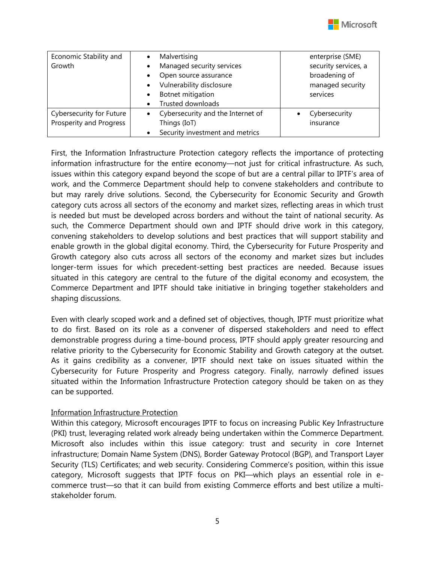

| Economic Stability and   | $\bullet$ | Malvertising                      | enterprise (SME)     |
|--------------------------|-----------|-----------------------------------|----------------------|
| Growth                   |           | Managed security services         | security services, a |
|                          |           | Open source assurance             | broadening of        |
|                          | $\bullet$ | Vulnerability disclosure          | managed security     |
|                          | $\bullet$ | Botnet mitigation                 | services             |
|                          |           | Trusted downloads                 |                      |
| Cybersecurity for Future |           | Cybersecurity and the Internet of | Cybersecurity        |
| Prosperity and Progress  |           | Things (IoT)                      | insurance            |
|                          |           | Security investment and metrics   |                      |

First, the Information Infrastructure Protection category reflects the importance of protecting information infrastructure for the entire economy—not just for critical infrastructure. As such, issues within this category expand beyond the scope of but are a central pillar to IPTF's area of work, and the Commerce Department should help to convene stakeholders and contribute to but may rarely drive solutions. Second, the Cybersecurity for Economic Security and Growth category cuts across all sectors of the economy and market sizes, reflecting areas in which trust is needed but must be developed across borders and without the taint of national security. As such, the Commerce Department should own and IPTF should drive work in this category, convening stakeholders to develop solutions and best practices that will support stability and enable growth in the global digital economy. Third, the Cybersecurity for Future Prosperity and Growth category also cuts across all sectors of the economy and market sizes but includes longer-term issues for which precedent-setting best practices are needed. Because issues situated in this category are central to the future of the digital economy and ecosystem, the Commerce Department and IPTF should take initiative in bringing together stakeholders and shaping discussions.

Even with clearly scoped work and a defined set of objectives, though, IPTF must prioritize what to do first. Based on its role as a convener of dispersed stakeholders and need to effect demonstrable progress during a time-bound process, IPTF should apply greater resourcing and relative priority to the Cybersecurity for Economic Stability and Growth category at the outset. As it gains credibility as a convener, IPTF should next take on issues situated within the Cybersecurity for Future Prosperity and Progress category. Finally, narrowly defined issues situated within the Information Infrastructure Protection category should be taken on as they can be supported.

#### Information Infrastructure Protection

Within this category, Microsoft encourages IPTF to focus on increasing Public Key Infrastructure (PKI) trust, leveraging related work already being undertaken within the Commerce Department. Microsoft also includes within this issue category: trust and security in core Internet infrastructure; Domain Name System (DNS), Border Gateway Protocol (BGP), and Transport Layer Security (TLS) Certificates; and web security. Considering Commerce's position, within this issue category, Microsoft suggests that IPTF focus on PKI—which plays an essential role in ecommerce trust—so that it can build from existing Commerce efforts and best utilize a multistakeholder forum.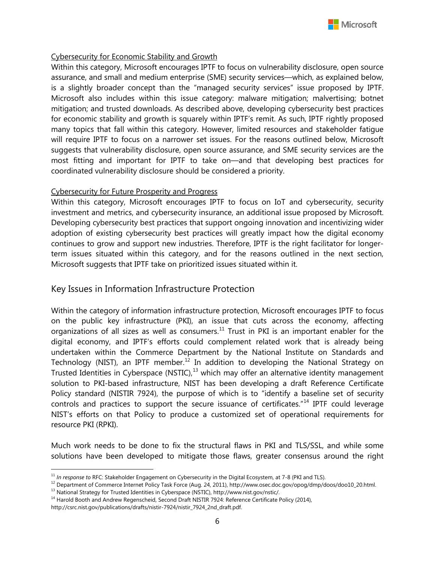#### Cybersecurity for Economic Stability and Growth

Within this category, Microsoft encourages IPTF to focus on vulnerability disclosure, open source assurance, and small and medium enterprise (SME) security services—which, as explained below, is a slightly broader concept than the "managed security services" issue proposed by IPTF. Microsoft also includes within this issue category: malware mitigation; malvertising; botnet mitigation; and trusted downloads. As described above, developing cybersecurity best practices for economic stability and growth is squarely within IPTF's remit. As such, IPTF rightly proposed many topics that fall within this category. However, limited resources and stakeholder fatigue will require IPTF to focus on a narrower set issues. For the reasons outlined below, Microsoft suggests that vulnerability disclosure, open source assurance, and SME security services are the most fitting and important for IPTF to take on—and that developing best practices for coordinated vulnerability disclosure should be considered a priority.

#### Cybersecurity for Future Prosperity and Progress

Within this category, Microsoft encourages IPTF to focus on IoT and cybersecurity, security investment and metrics, and cybersecurity insurance, an additional issue proposed by Microsoft. Developing cybersecurity best practices that support ongoing innovation and incentivizing wider adoption of existing cybersecurity best practices will greatly impact how the digital economy continues to grow and support new industries. Therefore, IPTF is the right facilitator for longerterm issues situated within this category, and for the reasons outlined in the next section, Microsoft suggests that IPTF take on prioritized issues situated within it.

## <span id="page-5-0"></span>Key Issues in Information Infrastructure Protection

Within the category of information infrastructure protection, Microsoft encourages IPTF to focus on the public key infrastructure (PKI), an issue that cuts across the economy, affecting organizations of all sizes as well as consumers.<sup>[11](#page-5-1)</sup> Trust in PKI is an important enabler for the digital economy, and IPTF's efforts could complement related work that is already being undertaken within the Commerce Department by the National Institute on Standards and Technology (NIST), an IPTF member.<sup>[12](#page-5-2)</sup> In addition to developing the National Strategy on Trusted Identities in Cyberspace (NSTIC), $13$  which may offer an alternative identity management solution to PKI-based infrastructure, NIST has been developing a draft Reference Certificate Policy standard (NISTIR 7924), the purpose of which is to "identify a baseline set of security controls and practices to support the secure issuance of certificates."<sup>[14](#page-5-4)</sup> IPTF could leverage NIST's efforts on that Policy to produce a customized set of operational requirements for resource PKI (RPKI).

Much work needs to be done to fix the structural flaws in PKI and TLS/SSL, and while some solutions have been developed to mitigate those flaws, greater consensus around the right

<span id="page-5-3"></span><sup>13</sup> National Strategy for Trusted Identities in Cyberspace (NSTIC), http://www.nist.gov/nstic/.

l <sup>11</sup> In response to RFC: Stakeholder Engagement on Cybersecurity in the Digital Ecosystem, at 7-8 (PKI and TLS).

<span id="page-5-2"></span><span id="page-5-1"></span><sup>12</sup> Department of Commerce Internet Policy Task Force (Aug. 24, 2011), http://www.osec.doc.gov/opog/dmp/doos/doo10\_20.html.

<span id="page-5-4"></span><sup>&</sup>lt;sup>14</sup> Harold Booth and Andrew Regenscheid, Second Draft NISTIR 7924: Reference Certificate Policy (2014),

http://csrc.nist.gov/publications/drafts/nistir-7924/nistir\_7924\_2nd\_draft.pdf.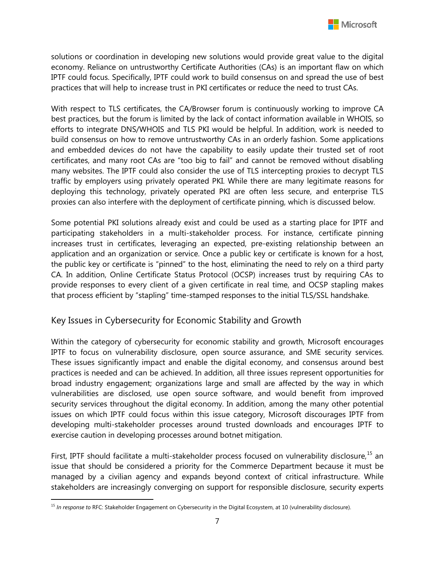solutions or coordination in developing new solutions would provide great value to the digital economy. Reliance on untrustworthy Certificate Authorities (CAs) is an important flaw on which IPTF could focus. Specifically, IPTF could work to build consensus on and spread the use of best practices that will help to increase trust in PKI certificates or reduce the need to trust CAs.

With respect to TLS certificates, the CA/Browser forum is continuously working to improve CA best practices, but the forum is limited by the lack of contact information available in WHOIS, so efforts to integrate DNS/WHOIS and TLS PKI would be helpful. In addition, work is needed to build consensus on how to remove untrustworthy CAs in an orderly fashion. Some applications and embedded devices do not have the capability to easily update their trusted set of root certificates, and many root CAs are "too big to fail" and cannot be removed without disabling many websites. The IPTF could also consider the use of TLS intercepting proxies to decrypt TLS traffic by employers using privately operated PKI. While there are many legitimate reasons for deploying this technology, privately operated PKI are often less secure, and enterprise TLS proxies can also interfere with the deployment of certificate pinning, which is discussed below.

Some potential PKI solutions already exist and could be used as a starting place for IPTF and participating stakeholders in a multi-stakeholder process. For instance, certificate pinning increases trust in certificates, leveraging an expected, pre-existing relationship between an application and an organization or service. Once a public key or certificate is known for a host, the public key or certificate is "pinned" to the host, eliminating the need to rely on a third party CA. In addition, Online Certificate Status Protocol (OCSP) increases trust by requiring CAs to provide responses to every client of a given certificate in real time, and OCSP stapling makes that process efficient by "stapling" time-stamped responses to the initial TLS/SSL handshake.

## <span id="page-6-0"></span>Key Issues in Cybersecurity for Economic Stability and Growth

Within the category of cybersecurity for economic stability and growth, Microsoft encourages IPTF to focus on vulnerability disclosure, open source assurance, and SME security services. These issues significantly impact and enable the digital economy, and consensus around best practices is needed and can be achieved. In addition, all three issues represent opportunities for broad industry engagement; organizations large and small are affected by the way in which vulnerabilities are disclosed, use open source software, and would benefit from improved security services throughout the digital economy. In addition, among the many other potential issues on which IPTF could focus within this issue category, Microsoft discourages IPTF from developing multi-stakeholder processes around trusted downloads and encourages IPTF to exercise caution in developing processes around botnet mitigation.

First, IPTF should facilitate a multi-stakeholder process focused on vulnerability disclosure,<sup>[15](#page-6-1)</sup> an issue that should be considered a priority for the Commerce Department because it must be managed by a civilian agency and expands beyond context of critical infrastructure. While stakeholders are increasingly converging on support for responsible disclosure, security experts

l

<span id="page-6-1"></span><sup>15</sup> *In response to* RFC: Stakeholder Engagement on Cybersecurity in the Digital Ecosystem, at 10 (vulnerability disclosure).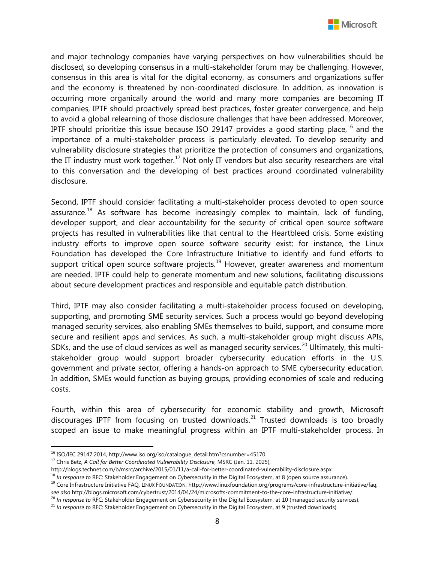

and major technology companies have varying perspectives on how vulnerabilities should be disclosed, so developing consensus in a multi-stakeholder forum may be challenging. However, consensus in this area is vital for the digital economy, as consumers and organizations suffer and the economy is threatened by non-coordinated disclosure. In addition, as innovation is occurring more organically around the world and many more companies are becoming IT companies, IPTF should proactively spread best practices, foster greater convergence, and help to avoid a global relearning of those disclosure challenges that have been addressed. Moreover, IPTF should prioritize this issue because ISO 29147 provides a good starting place,  $16$  and the importance of a multi-stakeholder process is particularly elevated. To develop security and vulnerability disclosure strategies that prioritize the protection of consumers and organizations, the IT industry must work together.<sup>[17](#page-7-1)</sup> Not only IT vendors but also security researchers are vital to this conversation and the developing of best practices around coordinated vulnerability disclosure.

Second, IPTF should consider facilitating a multi-stakeholder process devoted to open source assurance.<sup>[18](#page-7-2)</sup> As software has become increasingly complex to maintain, lack of funding, developer support, and clear accountability for the security of critical open source software projects has resulted in vulnerabilities like that central to the Heartbleed crisis. Some existing industry efforts to improve open source software security exist; for instance, the Linux Foundation has developed the Core Infrastructure Initiative to identify and fund efforts to support critical open source software projects.<sup>[19](#page-7-3)</sup> However, greater awareness and momentum are needed. IPTF could help to generate momentum and new solutions, facilitating discussions about secure development practices and responsible and equitable patch distribution.

Third, IPTF may also consider facilitating a multi-stakeholder process focused on developing, supporting, and promoting SME security services. Such a process would go beyond developing managed security services, also enabling SMEs themselves to build, support, and consume more secure and resilient apps and services. As such, a multi-stakeholder group might discuss APIs, SDKs, and the use of cloud services as well as managed security services.<sup>[20](#page-7-4)</sup> Ultimately, this multistakeholder group would support broader cybersecurity education efforts in the U.S. government and private sector, offering a hands-on approach to SME cybersecurity education. In addition, SMEs would function as buying groups, providing economies of scale and reducing costs.

Fourth, within this area of cybersecurity for economic stability and growth, Microsoft discourages IPTF from focusing on trusted downloads.<sup>[21](#page-7-5)</sup> Trusted downloads is too broadly scoped an issue to make meaningful progress within an IPTF multi-stakeholder process. In

 $\overline{\phantom{a}}$ 

<span id="page-7-0"></span><sup>16</sup> ISO/IEC 29147:2014, http://www.iso.org/iso/catalogue\_detail.htm?csnumber=45170

<span id="page-7-1"></span><sup>&</sup>lt;sup>17</sup> Chris Betz, *A Call for Better Coordinated Vulnerability Disclosure*, MSRC (Jan. 11, 2025),<br>http://blogs.technet.com/b/msrc/archive/2015/01/11/a-call-for-better-coordinated-vulnerability-disclosure.aspx.

<span id="page-7-2"></span><sup>&</sup>lt;sup>18</sup> In response to RFC: Stakeholder Engagement on Cybersecurity in the Digital Ecosystem, at 8 (open source assurance).

<span id="page-7-3"></span><sup>&</sup>lt;sup>19</sup> Core Infrastructure Initiative FAQ, LINUX FOUNDATION, http://www.linuxfoundation.org/programs/core-infrastructure-initiative/faq; *see also* http://blogs.microsoft.com/cybertrust/2014/04/24/microsofts-commitment-to-the-core-infrastructure-initiative/.

<span id="page-7-4"></span><sup>&</sup>lt;sup>20</sup> In response to RFC: Stakeholder Engagement on Cybersecurity in the Digital Ecosystem, at 10 (managed security services).

<span id="page-7-5"></span><sup>21</sup> *In response to* RFC: Stakeholder Engagement on Cybersecurity in the Digital Ecosystem, at 9 (trusted downloads).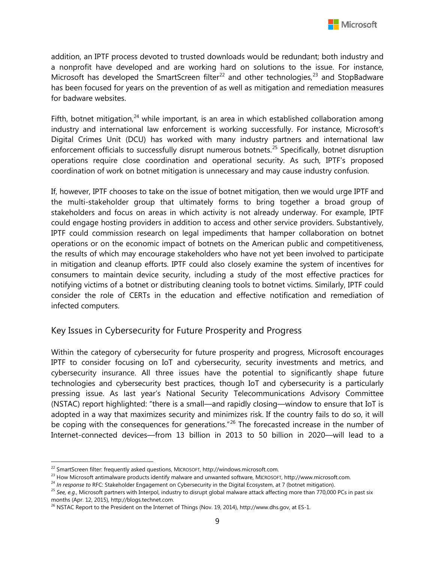

addition, an IPTF process devoted to trusted downloads would be redundant; both industry and a nonprofit have developed and are working hard on solutions to the issue. For instance, Microsoft has developed the SmartScreen filter<sup>[22](#page-8-1)</sup> and other technologies,<sup>[23](#page-8-2)</sup> and StopBadware has been focused for years on the prevention of as well as mitigation and remediation measures for badware websites.

Fifth, botnet mitigation, $^{24}$  $^{24}$  $^{24}$  while important, is an area in which established collaboration among industry and international law enforcement is working successfully. For instance, Microsoft's Digital Crimes Unit (DCU) has worked with many industry partners and international law enforcement officials to successfully disrupt numerous botnets.<sup>[25](#page-8-4)</sup> Specifically, botnet disruption operations require close coordination and operational security. As such, IPTF's proposed coordination of work on botnet mitigation is unnecessary and may cause industry confusion.

If, however, IPTF chooses to take on the issue of botnet mitigation, then we would urge IPTF and the multi-stakeholder group that ultimately forms to bring together a broad group of stakeholders and focus on areas in which activity is not already underway. For example, IPTF could engage hosting providers in addition to access and other service providers. Substantively, IPTF could commission research on legal impediments that hamper collaboration on botnet operations or on the economic impact of botnets on the American public and competitiveness, the results of which may encourage stakeholders who have not yet been involved to participate in mitigation and cleanup efforts. IPTF could also closely examine the system of incentives for consumers to maintain device security, including a study of the most effective practices for notifying victims of a botnet or distributing cleaning tools to botnet victims. Similarly, IPTF could consider the role of CERTs in the education and effective notification and remediation of infected computers.

## <span id="page-8-0"></span>Key Issues in Cybersecurity for Future Prosperity and Progress

Within the category of cybersecurity for future prosperity and progress, Microsoft encourages IPTF to consider focusing on IoT and cybersecurity, security investments and metrics, and cybersecurity insurance. All three issues have the potential to significantly shape future technologies and cybersecurity best practices, though IoT and cybersecurity is a particularly pressing issue. As last year's National Security Telecommunications Advisory Committee (NSTAC) report highlighted: "there is a small—and rapidly closing—window to ensure that IoT is adopted in a way that maximizes security and minimizes risk. If the country fails to do so, it will be coping with the consequences for generations."<sup>[26](#page-8-5)</sup> The forecasted increase in the number of Internet-connected devices—from 13 billion in 2013 to 50 billion in 2020—will lead to a

 $\overline{\phantom{a}}$ 

<span id="page-8-1"></span><sup>22</sup> SmartScreen filter: frequently asked questions, MICROSOFT, http://windows.microsoft.com.

<span id="page-8-2"></span><sup>23</sup> How Microsoft antimalware products identify malware and unwanted software, MICROSOFT, http://www.microsoft.com.

<span id="page-8-3"></span><sup>24</sup> *In response to* RFC: Stakeholder Engagement on Cybersecurity in the Digital Ecosystem, at 7 (botnet mitigation).

<span id="page-8-4"></span><sup>25</sup> *See, e.g.*, Microsoft partners with Interpol, industry to disrupt global malware attack affecting more than 770,000 PCs in past six months (Apr. 12, 2015), http://blogs.technet.com.

<span id="page-8-5"></span><sup>&</sup>lt;sup>26</sup> NSTAC Report to the President on the Internet of Things (Nov. 19, 2014), http://www.dhs.gov, at ES-1.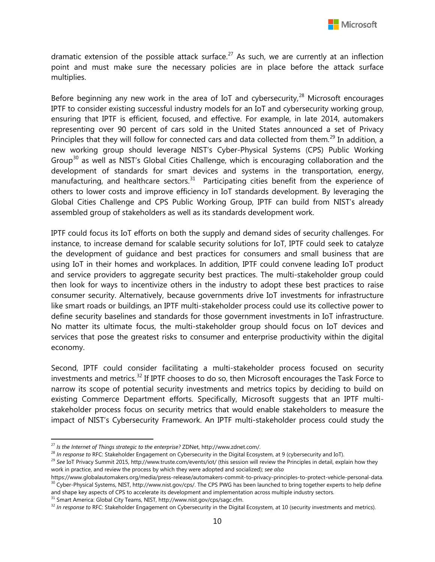dramatic extension of the possible attack surface.<sup>[27](#page-9-0)</sup> As such, we are currently at an inflection point and must make sure the necessary policies are in place before the attack surface multiplies.

Before beginning any new work in the area of IoT and cybersecurity, $28$  Microsoft encourages IPTF to consider existing successful industry models for an IoT and cybersecurity working group, ensuring that IPTF is efficient, focused, and effective. For example, in late 2014, automakers representing over 90 percent of cars sold in the United States announced a set of Privacy Principles that they will follow for connected cars and data collected from them.<sup>[29](#page-9-2)</sup> In addition, a new working group should leverage NIST's Cyber-Physical Systems (CPS) Public Working Group<sup>[30](#page-9-3)</sup> as well as NIST's Global Cities Challenge, which is encouraging collaboration and the development of standards for smart devices and systems in the transportation, energy, manufacturing, and healthcare sectors. $31$  Participating cities benefit from the experience of others to lower costs and improve efficiency in IoT standards development. By leveraging the Global Cities Challenge and CPS Public Working Group, IPTF can build from NIST's already assembled group of stakeholders as well as its standards development work.

IPTF could focus its IoT efforts on both the supply and demand sides of security challenges. For instance, to increase demand for scalable security solutions for IoT, IPTF could seek to catalyze the development of guidance and best practices for consumers and small business that are using IoT in their homes and workplaces. In addition, IPTF could convene leading IoT product and service providers to aggregate security best practices. The multi-stakeholder group could then look for ways to incentivize others in the industry to adopt these best practices to raise consumer security. Alternatively, because governments drive IoT investments for infrastructure like smart roads or buildings, an IPTF multi-stakeholder process could use its collective power to define security baselines and standards for those government investments in IoT infrastructure. No matter its ultimate focus, the multi-stakeholder group should focus on IoT devices and services that pose the greatest risks to consumer and enterprise productivity within the digital economy.

Second, IPTF could consider facilitating a multi-stakeholder process focused on security investments and metrics.<sup>[32](#page-9-5)</sup> If IPTF chooses to do so, then Microsoft encourages the Task Force to narrow its scope of potential security investments and metrics topics by deciding to build on existing Commerce Department efforts. Specifically, Microsoft suggests that an IPTF multistakeholder process focus on security metrics that would enable stakeholders to measure the impact of NIST's Cybersecurity Framework. An IPTF multi-stakeholder process could study the

l

<span id="page-9-1"></span><sup>28</sup> *In response to* RFC: Stakeholder Engagement on Cybersecurity in the Digital Ecosystem, at 9 (cybersecurity and IoT).

and shape key aspects of CPS to accelerate its development and implementation across multiple industry sectors.

<span id="page-9-4"></span><sup>31</sup> Smart America: Global City Teams, NIST, http://www.nist.gov/cps/sagc.cfm.

<span id="page-9-0"></span><sup>27</sup> *Is the Internet of Things strategic to the enterprise?* ZDNet, http://www.zdnet.com/.

<span id="page-9-2"></span><sup>29</sup> *See* IoT Privacy Summit 2015, http://www.truste.com/events/iot/ (this session will review the Principles in detail, explain how they work in practice, and review the process by which they were adopted and socialized); *see also* 

<span id="page-9-3"></span>https://www.globalautomakers.org/media/press-release/automakers-commit-to-privacy-principles-to-protect-vehicle-personal-data. <sup>30</sup> Cyber-Physical Systems, NIST, http://www.nist.gov/cps/. The CPS PWG has been launched to bring together experts to help define

<span id="page-9-5"></span><sup>&</sup>lt;sup>32</sup> In response to RFC: Stakeholder Engagement on Cybersecurity in the Digital Ecosystem, at 10 (security investments and metrics).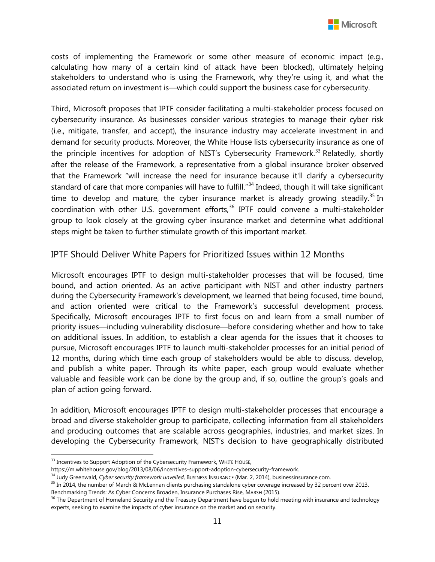costs of implementing the Framework or some other measure of economic impact (e.g., calculating how many of a certain kind of attack have been blocked), ultimately helping stakeholders to understand who is using the Framework, why they're using it, and what the associated return on investment is—which could support the business case for cybersecurity.

Third, Microsoft proposes that IPTF consider facilitating a multi-stakeholder process focused on cybersecurity insurance. As businesses consider various strategies to manage their cyber risk (i.e., mitigate, transfer, and accept), the insurance industry may accelerate investment in and demand for security products. Moreover, the White House lists cybersecurity insurance as one of the principle incentives for adoption of NIST's Cybersecurity Framework.<sup>[33](#page-10-1)</sup> Relatedly, shortly after the release of the Framework, a representative from a global insurance broker observed that the Framework "will increase the need for insurance because it'll clarify a cybersecurity standard of care that more companies will have to fulfill."<sup>[34](#page-10-2)</sup> Indeed, though it will take significant time to develop and mature, the cyber insurance market is already growing steadily.<sup>[35](#page-10-3)</sup> In coordination with other U.S. government efforts, $36$  IPTF could convene a multi-stakeholder group to look closely at the growing cyber insurance market and determine what additional steps might be taken to further stimulate growth of this important market.

## <span id="page-10-0"></span>IPTF Should Deliver White Papers for Prioritized Issues within 12 Months

Microsoft encourages IPTF to design multi-stakeholder processes that will be focused, time bound, and action oriented. As an active participant with NIST and other industry partners during the Cybersecurity Framework's development, we learned that being focused, time bound, and action oriented were critical to the Framework's successful development process. Specifically, Microsoft encourages IPTF to first focus on and learn from a small number of priority issues—including vulnerability disclosure—before considering whether and how to take on additional issues. In addition, to establish a clear agenda for the issues that it chooses to pursue, Microsoft encourages IPTF to launch multi-stakeholder processes for an initial period of 12 months, during which time each group of stakeholders would be able to discuss, develop, and publish a white paper. Through its white paper, each group would evaluate whether valuable and feasible work can be done by the group and, if so, outline the group's goals and plan of action going forward.

In addition, Microsoft encourages IPTF to design multi-stakeholder processes that encourage a broad and diverse stakeholder group to participate, collecting information from all stakeholders and producing outcomes that are scalable across geographies, industries, and market sizes. In developing the Cybersecurity Framework, NIST's decision to have geographically distributed

l

<span id="page-10-1"></span> $33$  Incentives to Support Adoption of the Cybersecurity Framework, WHITE HOUSE,

https://m.whitehouse.gov/blog/2013/08/06/incentives-support-adoption-cybersecurity-framework.

<span id="page-10-2"></span><sup>34</sup> Judy Greenwald, *Cyber security framework unveiled*, BUSINESS INSURANCE (Mar. 2, 2014), businessinsurance.com.

<span id="page-10-3"></span><sup>&</sup>lt;sup>35</sup> In 2014, the number of March & McLennan clients purchasing standalone cyber coverage increased by 32 percent over 2013.

Benchmarking Trends: As Cyber Concerns Broaden, Insurance Purchases Rise, MARSH (2015).

<span id="page-10-4"></span><sup>&</sup>lt;sup>36</sup> The Department of Homeland Security and the Treasury Department have begun to hold meeting with insurance and technology experts, seeking to examine the impacts of cyber insurance on the market and on security.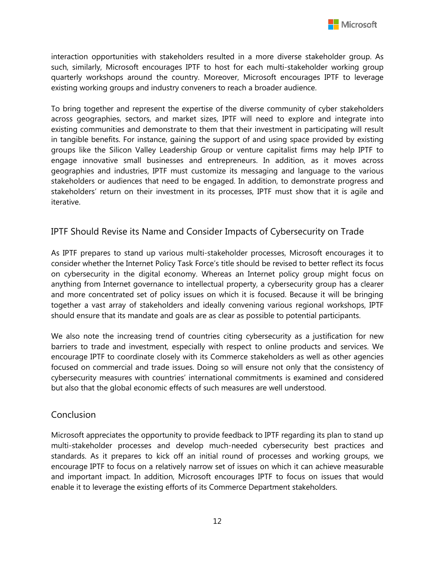

interaction opportunities with stakeholders resulted in a more diverse stakeholder group. As such, similarly, Microsoft encourages IPTF to host for each multi-stakeholder working group quarterly workshops around the country. Moreover, Microsoft encourages IPTF to leverage existing working groups and industry conveners to reach a broader audience.

To bring together and represent the expertise of the diverse community of cyber stakeholders across geographies, sectors, and market sizes, IPTF will need to explore and integrate into existing communities and demonstrate to them that their investment in participating will result in tangible benefits. For instance, gaining the support of and using space provided by existing groups like the Silicon Valley Leadership Group or venture capitalist firms may help IPTF to engage innovative small businesses and entrepreneurs. In addition, as it moves across geographies and industries, IPTF must customize its messaging and language to the various stakeholders or audiences that need to be engaged. In addition, to demonstrate progress and stakeholders' return on their investment in its processes, IPTF must show that it is agile and iterative.

## <span id="page-11-0"></span>IPTF Should Revise its Name and Consider Impacts of Cybersecurity on Trade

As IPTF prepares to stand up various multi-stakeholder processes, Microsoft encourages it to consider whether the Internet Policy Task Force's title should be revised to better reflect its focus on cybersecurity in the digital economy. Whereas an Internet policy group might focus on anything from Internet governance to intellectual property, a cybersecurity group has a clearer and more concentrated set of policy issues on which it is focused. Because it will be bringing together a vast array of stakeholders and ideally convening various regional workshops, IPTF should ensure that its mandate and goals are as clear as possible to potential participants.

We also note the increasing trend of countries citing cybersecurity as a justification for new barriers to trade and investment, especially with respect to online products and services. We encourage IPTF to coordinate closely with its Commerce stakeholders as well as other agencies focused on commercial and trade issues. Doing so will ensure not only that the consistency of cybersecurity measures with countries' international commitments is examined and considered but also that the global economic effects of such measures are well understood.

## <span id="page-11-1"></span>**Conclusion**

Microsoft appreciates the opportunity to provide feedback to IPTF regarding its plan to stand up multi-stakeholder processes and develop much-needed cybersecurity best practices and standards. As it prepares to kick off an initial round of processes and working groups, we encourage IPTF to focus on a relatively narrow set of issues on which it can achieve measurable and important impact. In addition, Microsoft encourages IPTF to focus on issues that would enable it to leverage the existing efforts of its Commerce Department stakeholders.